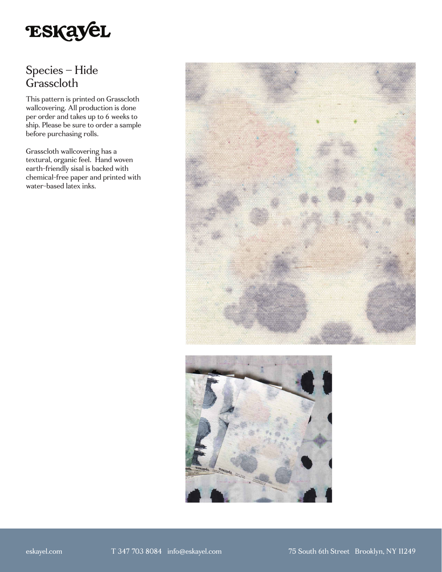

# Species – Hide Grasscloth

This pattern is printed on Grasscloth wallcovering. All production is done per order and takes up to 6 weeks to ship. Please be sure to order a sample before purchasing rolls.

Grasscloth wallcovering has a textural, organic feel. Hand woven earth-friendly sisal is backed with chemical-free paper and printed with water-based latex inks.



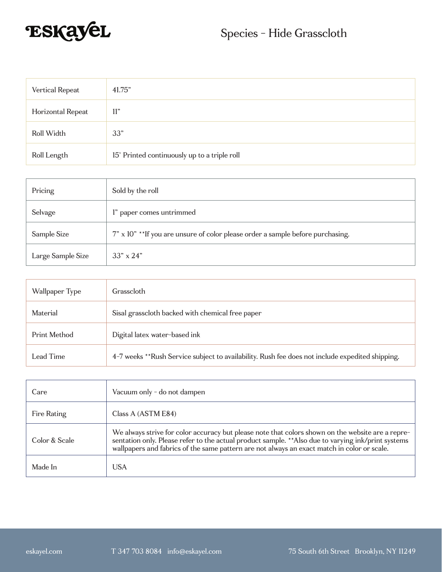

| Vertical Repeat   | 41.75"                                       |
|-------------------|----------------------------------------------|
| Horizontal Repeat | 11"                                          |
| Roll Width        | 33"                                          |
| Roll Length       | 15' Printed continuously up to a triple roll |

| Pricing           | Sold by the roll                                                               |
|-------------------|--------------------------------------------------------------------------------|
| Selvage           | l" paper comes untrimmed                                                       |
| Sample Size       | 7" x 10" **If you are unsure of color please order a sample before purchasing. |
| Large Sample Size | $33'' \times 24''$                                                             |

| Wallpaper Type | Grasscloth                                                                                      |
|----------------|-------------------------------------------------------------------------------------------------|
| Material       | Sisal grasscloth backed with chemical free paper                                                |
| Print Method   | Digital latex water-based ink                                                                   |
| Lead Time      | 4-7 weeks **Rush Service subject to availability. Rush fee does not include expedited shipping. |

| Care          | Vacuum only - do not dampen                                                                                                                                                                                                                                                                             |
|---------------|---------------------------------------------------------------------------------------------------------------------------------------------------------------------------------------------------------------------------------------------------------------------------------------------------------|
| Fire Rating   | Class A (ASTM E84)                                                                                                                                                                                                                                                                                      |
| Color & Scale | We always strive for color accuracy but please note that colors shown on the website are a repre-<br>sentation only. Please refer to the actual product sample. ** Also due to varying ink/print systems<br>wallpapers and fabrics of the same pattern are not always an exact match in color or scale. |
| Made In       | USA                                                                                                                                                                                                                                                                                                     |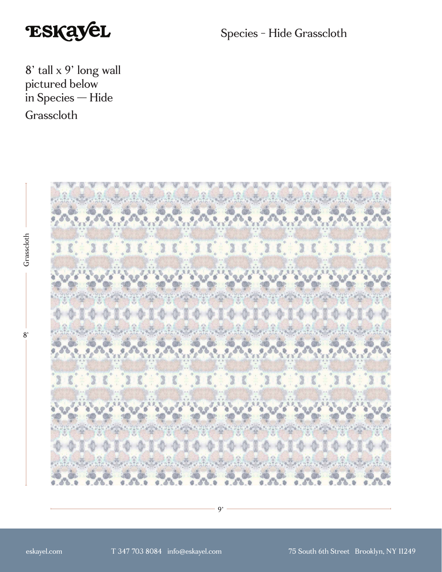

Species - Hide Grasscloth

8' tall x 9' long wall pictured below in Species — Hide Grasscloth

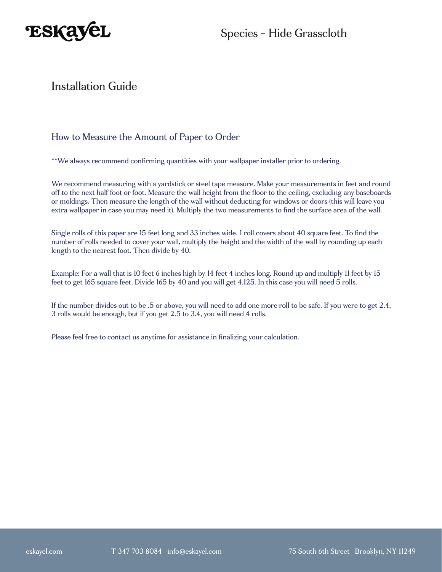

### Installation Guide

#### How to Measure the Amount of Paper to Order

\*\*We always recommend confirming quantities with your wallpaper installer prior to ordering.

We recommend measuring with a yardstick or steel tape measure. Make your measurements in feet and round off to the next half foot or foot. Measure the wall height from the floor to the ceiling, excluding any baseboards or moldings. Then measure the length of the wall without deducting for windows or doors (this will leave you extra wallpaper in case you may need it). Multiply the two measurements to find the surface area of the wall.

Single rolls of this paper are 15 feet long and 33 inches wide. 1 roll covers about 40 square feet. To find the number of rolls needed to cover your wall, multiply the height and the width of the wall by rounding up each length to the nearest foot. Then divide by 40.

Example: For a wall that is 10 feet 6 inches high by 14 feet 4 inches long. Round up and multiply 11 feet by 15 feet to get 165 square feet. Divide 165 by 40 and you will get 4.125. In this case you will need 5 rolls.

If the number divides out to be .5 or above, you will need to add one more roll to be safe. If you were to get 2.4, 3 rolls would be enough, but if you get 2.5 to 3.4, you will need 4 rolls.

Please feel free to contact us anytime for assistance in finalizing your calculation.